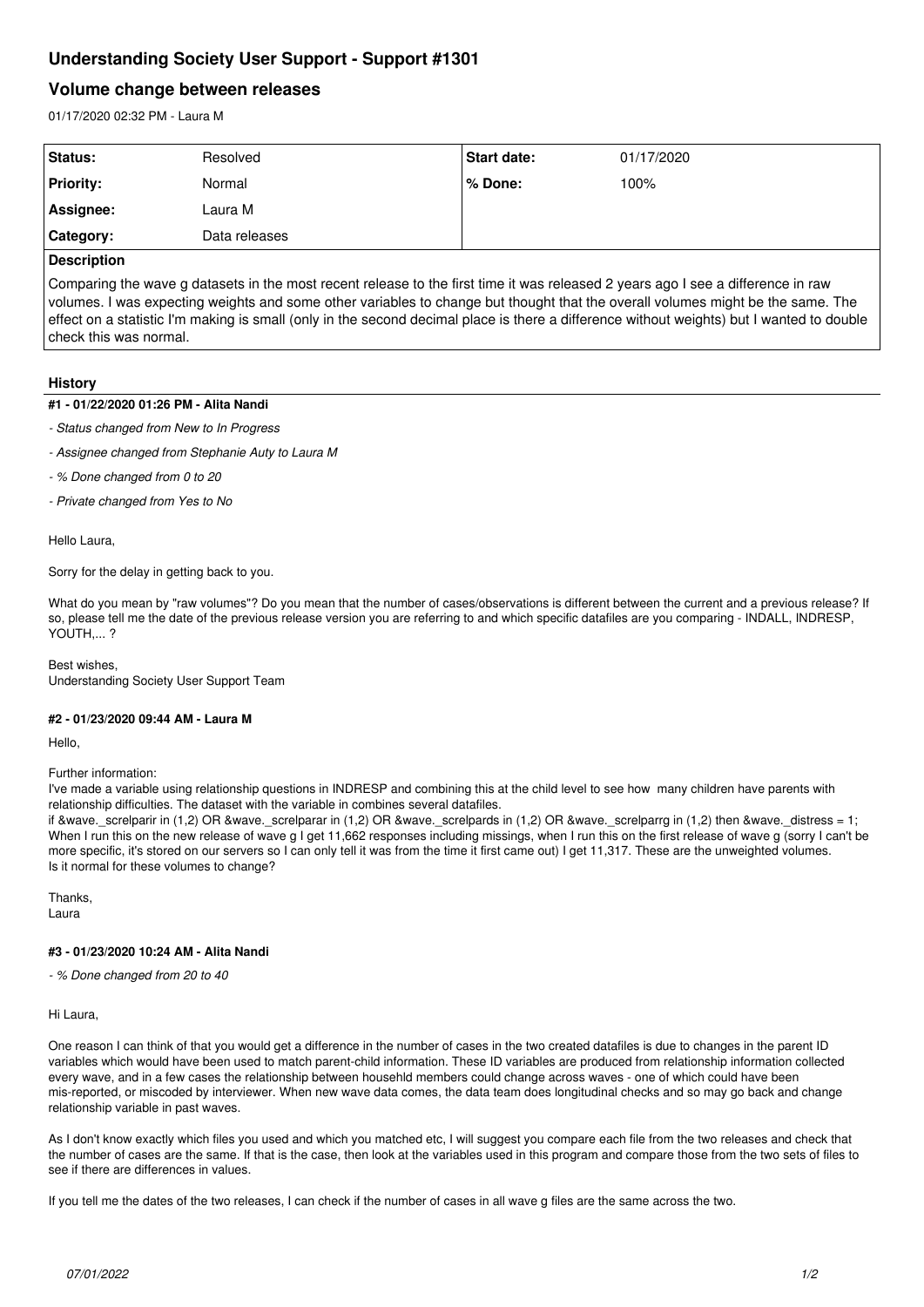# **Understanding Society User Support - Support #1301**

# **Volume change between releases**

01/17/2020 02:32 PM - Laura M

| Status:            | Resolved      | Start date: | 01/17/2020 |  |
|--------------------|---------------|-------------|------------|--|
| <b>Priority:</b>   | Normal        | % Done:     | 100%       |  |
| Assignee:          | Laura M       |             |            |  |
| Category:          | Data releases |             |            |  |
| <b>Decorintion</b> |               |             |            |  |

#### **Description**

Comparing the wave g datasets in the most recent release to the first time it was released 2 years ago I see a difference in raw volumes. I was expecting weights and some other variables to change but thought that the overall volumes might be the same. The effect on a statistic I'm making is small (only in the second decimal place is there a difference without weights) but I wanted to double check this was normal.

# **History**

# **#1 - 01/22/2020 01:26 PM - Alita Nandi**

- *Status changed from New to In Progress*
- *Assignee changed from Stephanie Auty to Laura M*
- *% Done changed from 0 to 20*
- *Private changed from Yes to No*

Hello Laura,

Sorry for the delay in getting back to you.

What do you mean by "raw volumes"? Do you mean that the number of cases/observations is different between the current and a previous release? If so, please tell me the date of the previous release version you are referring to and which specific datafiles are you comparing - INDALL, INDRESP, YOUTH,... ?

Best wishes, Understanding Society User Support Team

## **#2 - 01/23/2020 09:44 AM - Laura M**

Hello,

Further information:

I've made a variable using relationship questions in INDRESP and combining this at the child level to see how many children have parents with relationship difficulties. The dataset with the variable in combines several datafiles.

if &wave. screlparir in (1,2) OR &wave. screlparar in (1,2) OR &wave. screlpards in (1,2) OR &wave. screlparrg in (1,2) then &wave. distress = 1; When I run this on the new release of wave g I get 11,662 responses including missings, when I run this on the first release of wave g (sorry I can't be more specific, it's stored on our servers so I can only tell it was from the time it first came out) I get 11,317. These are the unweighted volumes. Is it normal for these volumes to change?

**Thanks** Laura

## **#3 - 01/23/2020 10:24 AM - Alita Nandi**

*- % Done changed from 20 to 40*

Hi Laura,

One reason I can think of that you would get a difference in the number of cases in the two created datafiles is due to changes in the parent ID variables which would have been used to match parent-child information. These ID variables are produced from relationship information collected every wave, and in a few cases the relationship between househld members could change across waves - one of which could have been mis-reported, or miscoded by interviewer. When new wave data comes, the data team does longitudinal checks and so may go back and change relationship variable in past waves.

As I don't know exactly which files you used and which you matched etc, I will suggest you compare each file from the two releases and check that the number of cases are the same. If that is the case, then look at the variables used in this program and compare those from the two sets of files to see if there are differences in values.

If you tell me the dates of the two releases, I can check if the number of cases in all wave g files are the same across the two.